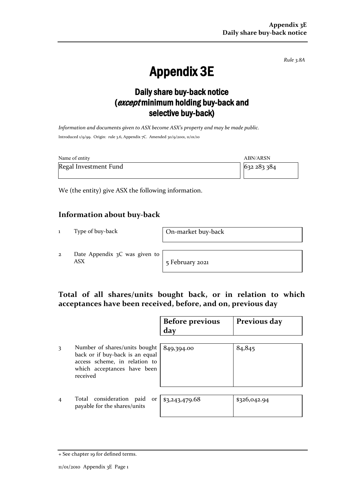*Rule 3.8A*

# Appendix 3E

## Daily share buy-back notice (except minimum holding buy-back and selective buy-back)

*Information and documents given to ASX become ASX's property and may be made public.* Introduced 1/9/99. Origin: rule 3.6, Appendix 7C. Amended 30/9/2001, 11/01/10

| Name of entity        | ABN/ARSN    |
|-----------------------|-------------|
| Regal Investment Fund | 632 283 384 |

We (the entity) give ASX the following information.

### **Information about buy-back**

1 Type of buy-back On-market buy-back

2 Date Appendix 3C was given to ASX 5 February 2021

### **Total of all shares/units bought back, or in relation to which acceptances have been received, before, and on, previous day**

|                |                                                                                                                                              | <b>Before previous</b><br>day | Previous day |
|----------------|----------------------------------------------------------------------------------------------------------------------------------------------|-------------------------------|--------------|
| 3              | Number of shares/units bought<br>back or if buy-back is an equal<br>access scheme, in relation to<br>which acceptances have been<br>received | 849,394.00                    | 84,845       |
| $\overline{4}$ | Total consideration paid<br>or<br>payable for the shares/units                                                                               | \$3,243,479.68                | \$326,042.94 |

<sup>+</sup> See chapter 19 for defined terms.